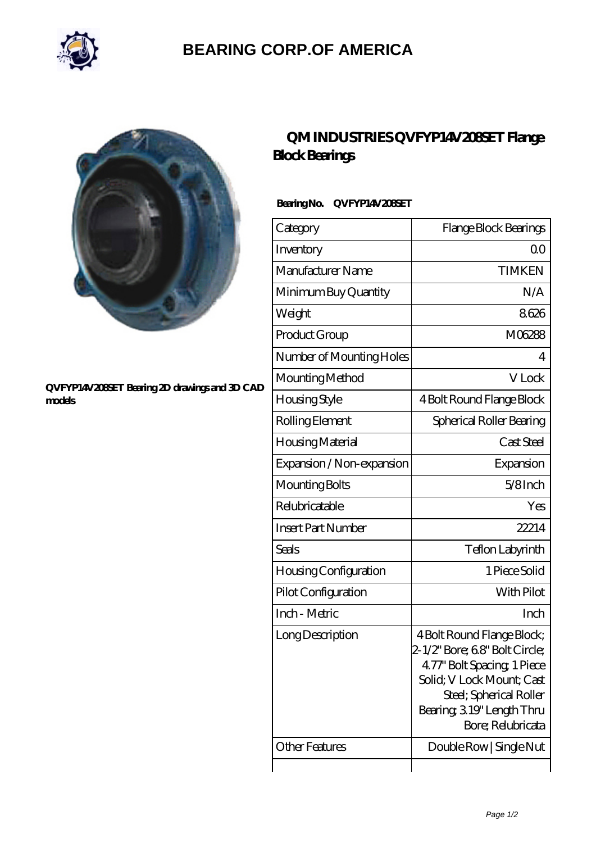

# **[BEARING CORP.OF AMERICA](https://m.bluemondayreview.com)**



#### **[QVFYP14V208SET Bearing 2D drawings and 3D CAD](https://m.bluemondayreview.com/pic-175440.html) [models](https://m.bluemondayreview.com/pic-175440.html)**

## **[QM INDUSTRIES QVFYP14V208SET Flange](https://m.bluemondayreview.com/aI-175440-qm-industries-qvfyp14v208set-flange-block-bearings.html) [Block Bearings](https://m.bluemondayreview.com/aI-175440-qm-industries-qvfyp14v208set-flange-block-bearings.html)**

### **Bearing No. QVFYP14V208SET**

| Category                  | Flange Block Bearings                                                                                                                                                                                |
|---------------------------|------------------------------------------------------------------------------------------------------------------------------------------------------------------------------------------------------|
| Inventory                 | Q0                                                                                                                                                                                                   |
| Manufacturer Name         | <b>TIMKEN</b>                                                                                                                                                                                        |
| Minimum Buy Quantity      | N/A                                                                                                                                                                                                  |
| Weight                    | 8626                                                                                                                                                                                                 |
| Product Group             | M06288                                                                                                                                                                                               |
| Number of Mounting Holes  | 4                                                                                                                                                                                                    |
| Mounting Method           | V Lock                                                                                                                                                                                               |
| Housing Style             | 4 Bolt Round Flange Block                                                                                                                                                                            |
| Rolling Element           | Spherical Roller Bearing                                                                                                                                                                             |
| Housing Material          | Cast Steel                                                                                                                                                                                           |
| Expansion / Non-expansion | Expansion                                                                                                                                                                                            |
| Mounting Bolts            | $5/8$ Inch                                                                                                                                                                                           |
| Relubricatable            | Yes                                                                                                                                                                                                  |
| <b>Insert Part Number</b> | 22214                                                                                                                                                                                                |
| Seals                     | Teflon Labyrinth                                                                                                                                                                                     |
| Housing Configuration     | 1 Piece Solid                                                                                                                                                                                        |
| Pilot Configuration       | With Pilot                                                                                                                                                                                           |
| Inch - Metric             | Inch                                                                                                                                                                                                 |
| Long Description          | 4 Bolt Round Flange Block;<br>2-1/2" Bore; 68" Bolt Circle;<br>4.77" Bolt Spacing, 1 Piece<br>Solid; V Lock Mount; Cast<br>Steel; Spherical Roller<br>Bearing, 319" Length Thru<br>Bore; Relubricata |
| <b>Other Features</b>     | Double Row   Single Nut                                                                                                                                                                              |
|                           |                                                                                                                                                                                                      |